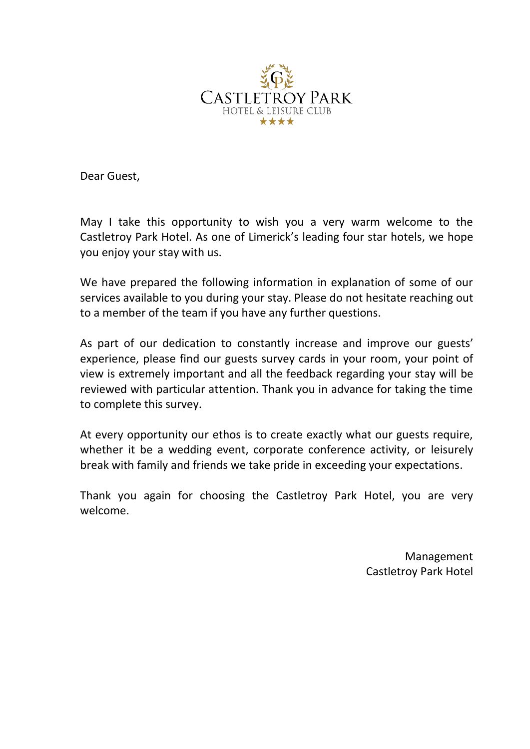

Dear Guest,

May I take this opportunity to wish you a very warm welcome to the Castletroy Park Hotel. As one of Limerick's leading four star hotels, we hope you enjoy your stay with us.

We have prepared the following information in explanation of some of our services available to you during your stay. Please do not hesitate reaching out to a member of the team if you have any further questions.

As part of our dedication to constantly increase and improve our guests' experience, please find our guests survey cards in your room, your point of view is extremely important and all the feedback regarding your stay will be reviewed with particular attention. Thank you in advance for taking the time to complete this survey.

At every opportunity our ethos is to create exactly what our guests require, whether it be a wedding event, corporate conference activity, or leisurely break with family and friends we take pride in exceeding your expectations.

Thank you again for choosing the Castletroy Park Hotel, you are very welcome.

> Management Castletroy Park Hotel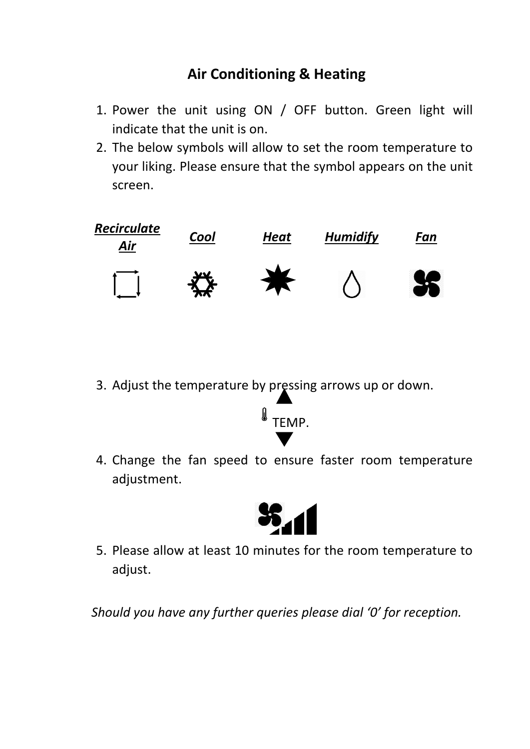# **Air Conditioning & Heating**

- 1. Power the unit using ON / OFF button. Green light will indicate that the unit is on.
- 2. The below symbols will allow to set the room temperature to your liking. Please ensure that the symbol appears on the unit screen.



3. Adjust the temperature by pressing arrows up or down.



4. Change the fan speed to ensure faster room temperature adjustment.



5. Please allow at least 10 minutes for the room temperature to adjust.

*Should you have any further queries please dial '0' for reception.*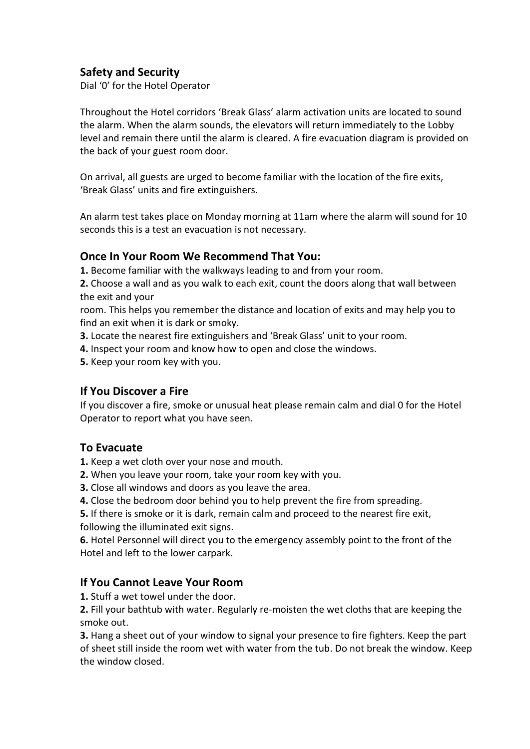## **Safety and Security**

Dial '0' for the Hotel Operator

Throughout the Hotel corridors 'Break Glass' alarm activation units are located to sound the alarm. When the alarm sounds, the elevators will return immediately to the Lobby level and remain there until the alarm is cleared. A fire evacuation diagram is provided on the back of your guest room door.

On arrival, all guests are urged to become familiar with the location of the fire exits, 'Break Glass' units and fire extinguishers.

An alarm test takes place on Monday morning at 11am where the alarm will sound for 10 seconds this is a test an evacuation is not necessary.

### **Once In Your Room We Recommend That You:**

**1.** Become familiar with the walkways leading to and from your room.

**2.** Choose a wall and as you walk to each exit, count the doors along that wall between the exit and your

room. This helps you remember the distance and location of exits and may help you to find an exit when it is dark or smoky.

- **3.** Locate the nearest fire extinguishers and 'Break Glass' unit to your room.
- **4.** Inspect your room and know how to open and close the windows.
- **5.** Keep your room key with you.

#### **If You Discover a Fire**

If you discover a fire, smoke or unusual heat please remain calm and dial 0 for the Hotel Operator to report what you have seen.

### **To Evacuate**

**1.** Keep a wet cloth over your nose and mouth.

- **2.** When you leave your room, take your room key with you.
- **3.** Close all windows and doors as you leave the area.
- **4.** Close the bedroom door behind you to help prevent the fire from spreading.

**5.** If there is smoke or it is dark, remain calm and proceed to the nearest fire exit, following the illuminated exit signs.

**6.** Hotel Personnel will direct you to the emergency assembly point to the front of the Hotel and left to the lower carpark.

### **If You Cannot Leave Your Room**

**1.** Stuff a wet towel under the door.

**2.** Fill your bathtub with water. Regularly re-moisten the wet cloths that are keeping the smoke out.

**3.** Hang a sheet out of your window to signal your presence to fire fighters. Keep the part of sheet still inside the room wet with water from the tub. Do not break the window. Keep the window closed.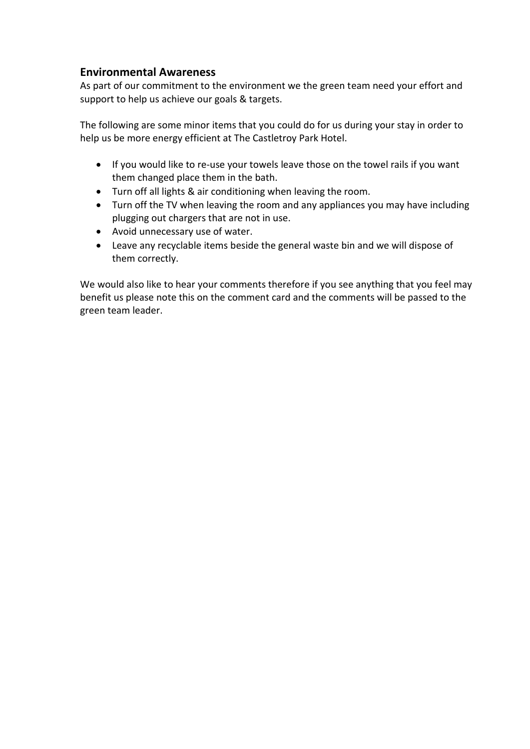### **Environmental Awareness**

As part of our commitment to the environment we the green team need your effort and support to help us achieve our goals & targets.

The following are some minor items that you could do for us during your stay in order to help us be more energy efficient at The Castletroy Park Hotel.

- If you would like to re-use your towels leave those on the towel rails if you want them changed place them in the bath.
- Turn off all lights & air conditioning when leaving the room.
- Turn off the TV when leaving the room and any appliances you may have including plugging out chargers that are not in use.
- Avoid unnecessary use of water.
- Leave any recyclable items beside the general waste bin and we will dispose of them correctly.

We would also like to hear your comments therefore if you see anything that you feel may benefit us please note this on the comment card and the comments will be passed to the green team leader.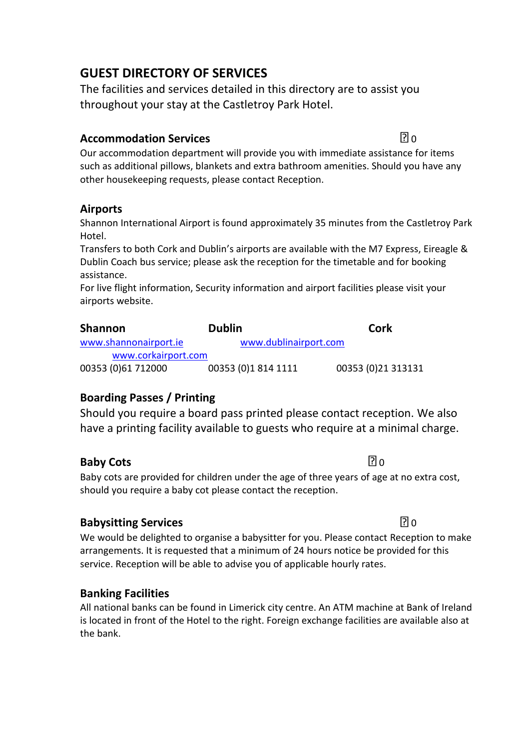# **GUEST DIRECTORY OF SERVICES**

The facilities and services detailed in this directory are to assist you throughout your stay at the Castletroy Park Hotel.

## **Accommodation Services 0.000 Million 1.000 Million 0.000 Million 1.000 Million 1.000 Million 1.000 Million 1.000 Million 1.000 Million 1.000 Million 1.000 Million 1.000 Million 1.000 Million 1.00**

Our accommodation department will provide you with immediate assistance for items such as additional pillows, blankets and extra bathroom amenities. Should you have any other housekeeping requests, please contact Reception.

## **Airports**

Shannon International Airport is found approximately 35 minutes from the Castletroy Park Hotel.

Transfers to both Cork and Dublin's airports are available with the M7 Express, Eireagle & Dublin Coach bus service; please ask the reception for the timetable and for booking assistance.

For live flight information, Security information and airport facilities please visit your airports website.

| <b>Shannon</b>        | <b>Dublin</b>         | Cork               |
|-----------------------|-----------------------|--------------------|
| www.shannonairport.ie | www.dublinairport.com |                    |
| www.corkairport.com   |                       |                    |
| 00353 (0)61 712000    | 00353 (0)1 814 1111   | 00353 (0)21 313131 |

## **Boarding Passes / Printing**

Should you require a board pass printed please contact reception. We also have a printing facility available to guests who require at a minimal charge.

## **Baby Cots** 2018

Baby cots are provided for children under the age of three years of age at no extra cost, should you require a baby cot please contact the reception.

## **Babysitting Services** 0

We would be delighted to organise a babysitter for you. Please contact Reception to make arrangements. It is requested that a minimum of 24 hours notice be provided for this service. Reception will be able to advise you of applicable hourly rates.

## **Banking Facilities**

All national banks can be found in Limerick city centre. An ATM machine at Bank of Ireland is located in front of the Hotel to the right. Foreign exchange facilities are available also at the bank.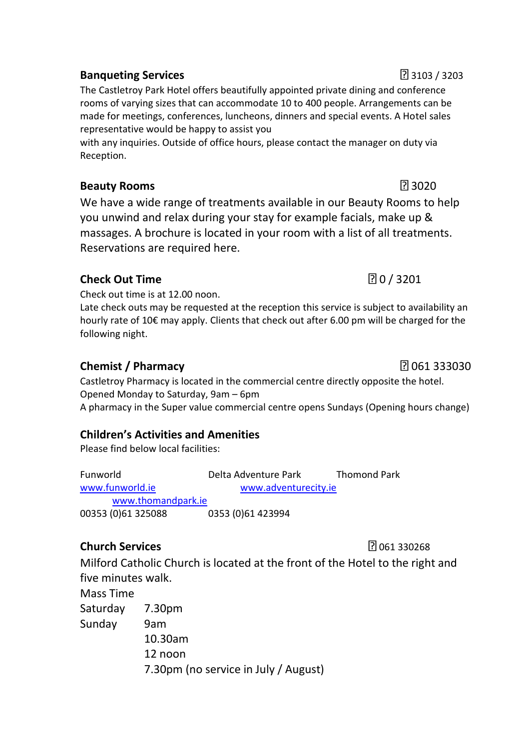## **Banqueting Services** 3103 / 3203

The Castletroy Park Hotel offers beautifully appointed private dining and conference rooms of varying sizes that can accommodate 10 to 400 people. Arrangements can be made for meetings, conferences, luncheons, dinners and special events. A Hotel sales representative would be happy to assist you

with any inquiries. Outside of office hours, please contact the manager on duty via Reception.

## **Beauty Rooms** 3020

We have a wide range of treatments available in our Beauty Rooms to help you unwind and relax during your stay for example facials, make up & massages. A brochure is located in your room with a list of all treatments. Reservations are required here.

## **Check Out Time** 2 201

Check out time is at 12.00 noon.

Late check outs may be requested at the reception this service is subject to availability an hourly rate of 10€ may apply. Clients that check out after 6.00 pm will be charged for the following night.

## **Chemist / Pharmacy** 2012 2022 2023 2030 2014 2014 2015 2016 2017 2018 2023 2030 2014 2016 2017 2018 2019 2017 2018 2017 2018 2017 2018 2017 2018 2017 2018 2017 2018 2017 2018 2019 2017 2018 2017 2018 2017 2018 2017 2018 2

Castletroy Pharmacy is located in the commercial centre directly opposite the hotel. Opened Monday to Saturday, 9am – 6pm A pharmacy in the Super value commercial centre opens Sundays (Opening hours change)

## **Children's Activities and Amenities**

Please find below local facilities:

Funworld Delta Adventure Park Thomond Park [www.funworld.ie](http://www.funworld.ie/) [www.adventurecity.ie](http://www.adventurecity.ie/) [www.thomandpark.ie](http://www.thomandpark.ie/) 00353 (0)61 325088 0353 (0)61 423994

## **Church Services** 2007 2008 2012 2022 2023 2024

Milford Catholic Church is located at the front of the Hotel to the right and five minutes walk.

Mass Time

Saturday 7.30pm Sunday 9am

10.30am

12 noon

7.30pm (no service in July / August)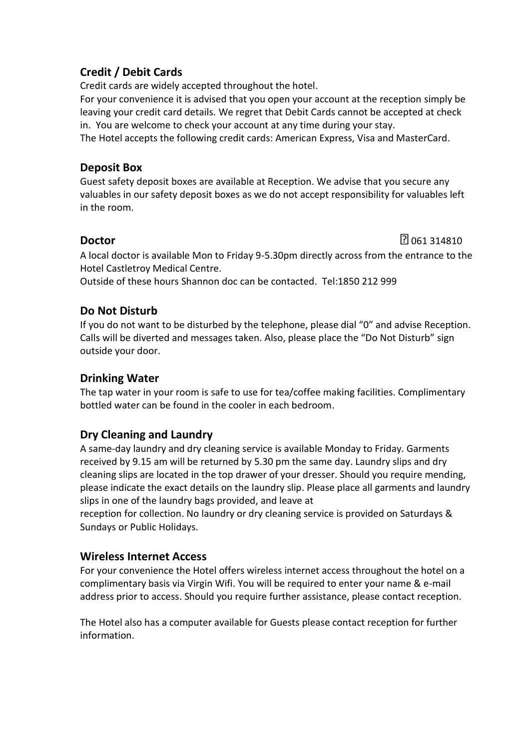## **Credit / Debit Cards**

Credit cards are widely accepted throughout the hotel.

For your convenience it is advised that you open your account at the reception simply be leaving your credit card details. We regret that Debit Cards cannot be accepted at check in. You are welcome to check your account at any time during your stay.

The Hotel accepts the following credit cards: American Express, Visa and MasterCard.

## **Deposit Box**

Guest safety deposit boxes are available at Reception. We advise that you secure any valuables in our safety deposit boxes as we do not accept responsibility for valuables left in the room.

**Doctor** 1 **Doctor** 1 **Doctor** 1 **Doctor** 1 **1**  $\frac{1}{2}$  061 314810

A local doctor is available Mon to Friday 9-5.30pm directly across from the entrance to the Hotel Castletroy Medical Centre.

Outside of these hours Shannon doc can be contacted. Tel:1850 212 999

## **Do Not Disturb**

If you do not want to be disturbed by the telephone, please dial "0" and advise Reception. Calls will be diverted and messages taken. Also, please place the "Do Not Disturb" sign outside your door.

## **Drinking Water**

The tap water in your room is safe to use for tea/coffee making facilities. Complimentary bottled water can be found in the cooler in each bedroom.

## **Dry Cleaning and Laundry**

A same-day laundry and dry cleaning service is available Monday to Friday. Garments received by 9.15 am will be returned by 5.30 pm the same day. Laundry slips and dry cleaning slips are located in the top drawer of your dresser. Should you require mending, please indicate the exact details on the laundry slip. Please place all garments and laundry slips in one of the laundry bags provided, and leave at

reception for collection. No laundry or dry cleaning service is provided on Saturdays & Sundays or Public Holidays.

## **Wireless Internet Access**

For your convenience the Hotel offers wireless internet access throughout the hotel on a complimentary basis via Virgin Wifi. You will be required to enter your name & e-mail address prior to access. Should you require further assistance, please contact reception.

The Hotel also has a computer available for Guests please contact reception for further information.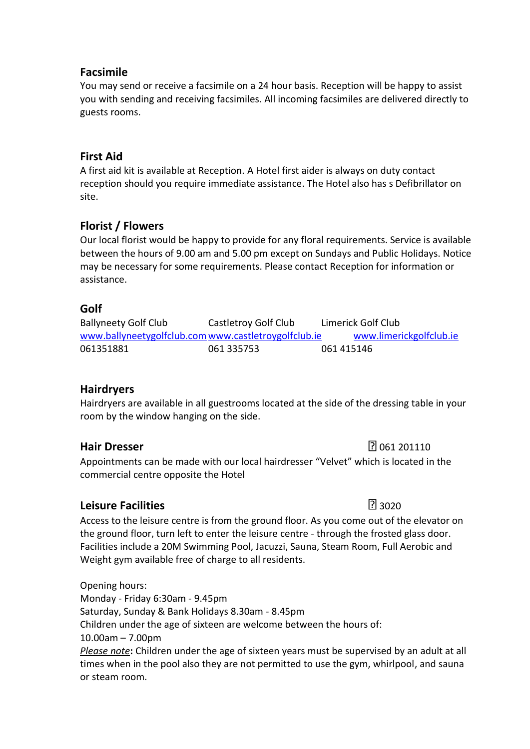### **Facsimile**

You may send or receive a facsimile on a 24 hour basis. Reception will be happy to assist you with sending and receiving facsimiles. All incoming facsimiles are delivered directly to guests rooms.

#### **First Aid**

A first aid kit is available at Reception. A Hotel first aider is always on duty contact reception should you require immediate assistance. The Hotel also has s Defibrillator on site.

## **Florist / Flowers**

Our local florist would be happy to provide for any floral requirements. Service is available between the hours of 9.00 am and 5.00 pm except on Sundays and Public Holidays. Notice may be necessary for some requirements. Please contact Reception for information or assistance.

### **Golf**

Ballyneety Golf Club Castletroy Golf Club Limerick Golf Club [www.ballyneetygolfclub.com](http://www.ballyneetygolfclub.com/)[www.castletroygolfclub.ie](http://www.castletroygolfclub.ie/) [www.limerickgolfclub.ie](http://www.limerickgolfclub.ie/) 061351881 061 335753 061 415146

### **Hairdryers**

Hairdryers are available in all guestrooms located at the side of the dressing table in your room by the window hanging on the side.

**Hair Dresser** 201110

Appointments can be made with our local hairdresser "Velvet" which is located in the commercial centre opposite the Hotel

## **Leisure Facilities** 3020

Access to the leisure centre is from the ground floor. As you come out of the elevator on the ground floor, turn left to enter the leisure centre - through the frosted glass door. Facilities include a 20M Swimming Pool, Jacuzzi, Sauna, Steam Room, Full Aerobic and Weight gym available free of charge to all residents.

Opening hours: Monday - Friday 6:30am - 9.45pm Saturday, Sunday & Bank Holidays 8.30am - 8.45pm Children under the age of sixteen are welcome between the hours of: 10.00am – 7.00pm *Please note***:** Children under the age of sixteen years must be supervised by an adult at all times when in the pool also they are not permitted to use the gym, whirlpool, and sauna or steam room.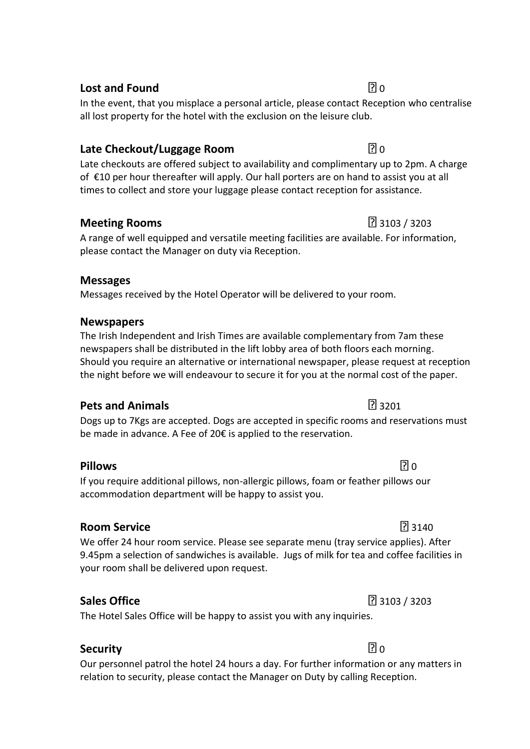# **Lost and Found 0.000**  $\blacksquare$  0.000 **0.000**  $\blacksquare$  0.000 **0.000 0.000 0.000 0.000 0.000 0.000 0.000 0.000 0.000 0.000 0.000 0.000 0.000 0.000 0.000 0.000 0.000 0.000 0.000 0.000 0.**

In the event, that you misplace a personal article, please contact Reception who centralise all lost property for the hotel with the exclusion on the leisure club.

## **Late Checkout/Luggage Room 1999 1999 1999 1999 1999 1999 1999 1999 1999 1999 1999 1999 1999 1999 1999 1999 1999 1999 1999 1999 1999 1999 1999 1999 1999 1999 1999 199**

Late checkouts are offered subject to availability and complimentary up to 2pm. A charge of €10 per hour thereafter will apply. Our hall porters are on hand to assist you at all times to collect and store your luggage please contact reception for assistance.

## **Meeting Rooms** 3103 / 3203

A range of well equipped and versatile meeting facilities are available. For information, please contact the Manager on duty via Reception.

## **Messages**

Messages received by the Hotel Operator will be delivered to your room.

## **Newspapers**

The Irish Independent and Irish Times are available complementary from 7am these newspapers shall be distributed in the lift lobby area of both floors each morning. Should you require an alternative or international newspaper, please request at reception the night before we will endeavour to secure it for you at the normal cost of the paper.

## **Pets and Animals Pets and Animals**

Dogs up to 7Kgs are accepted. Dogs are accepted in specific rooms and reservations must be made in advance. A Fee of 20€ is applied to the reservation.

## **Pillows** 2.1 and 2.1 and 2.1 and 2.1 and 2.1 and 2.1 and 2.1 and 2.1 and 2.1 and 2.1 and 2.1 and 2.1 and 2.1 and 2.1 and 2.1 and 2.1 and 2.1 and 2.1 and 2.1 and 2.1 and 2.1 and 2.1 and 2.1 and 2.1 and 2.1 and 2.1 and 2.1

If you require additional pillows, non-allergic pillows, foam or feather pillows our accommodation department will be happy to assist you.

## **Room Service** 3140

We offer 24 hour room service. Please see separate menu (tray service applies). After 9.45pm a selection of sandwiches is available. Jugs of milk for tea and coffee facilities in your room shall be delivered upon request.

## **Sales Office** 3103 / 3203

The Hotel Sales Office will be happy to assist you with any inquiries.

## **Security Department in the security**  $\boxed{?}$  0

Our personnel patrol the hotel 24 hours a day. For further information or any matters in relation to security, please contact the Manager on Duty by calling Reception.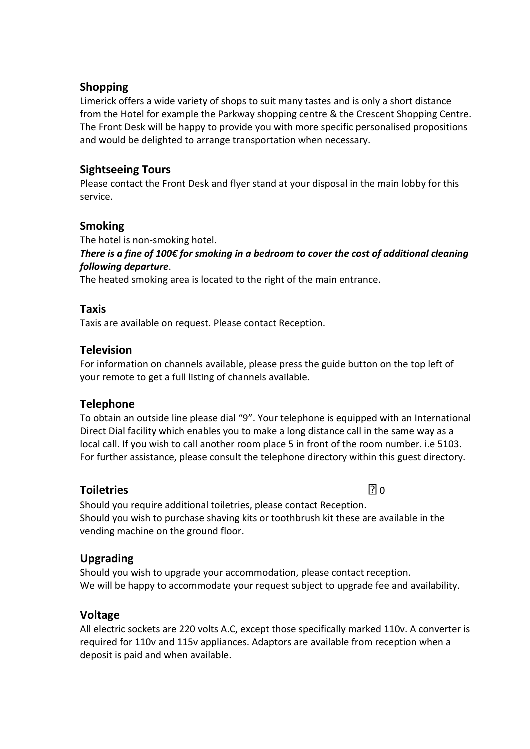### **Shopping**

Limerick offers a wide variety of shops to suit many tastes and is only a short distance from the Hotel for example the Parkway shopping centre & the Crescent Shopping Centre. The Front Desk will be happy to provide you with more specific personalised propositions and would be delighted to arrange transportation when necessary.

## **Sightseeing Tours**

Please contact the Front Desk and flyer stand at your disposal in the main lobby for this service.

## **Smoking**

The hotel is non-smoking hotel.

*There is a fine of 100€ for smoking in a bedroom to cover the cost of additional cleaning following departure*.

The heated smoking area is located to the right of the main entrance.

## **Taxis**

Taxis are available on request. Please contact Reception.

## **Television**

For information on channels available, please press the guide button on the top left of your remote to get a full listing of channels available.

### **Telephone**

To obtain an outside line please dial "9". Your telephone is equipped with an International Direct Dial facility which enables you to make a long distance call in the same way as a local call. If you wish to call another room place 5 in front of the room number. i.e 5103. For further assistance, please consult the telephone directory within this guest directory.

## **Toiletries** 0

Should you require additional toiletries, please contact Reception. Should you wish to purchase shaving kits or toothbrush kit these are available in the vending machine on the ground floor.

## **Upgrading**

Should you wish to upgrade your accommodation, please contact reception. We will be happy to accommodate your request subject to upgrade fee and availability.

### **Voltage**

All electric sockets are 220 volts A.C, except those specifically marked 110v. A converter is required for 110v and 115v appliances. Adaptors are available from reception when a deposit is paid and when available.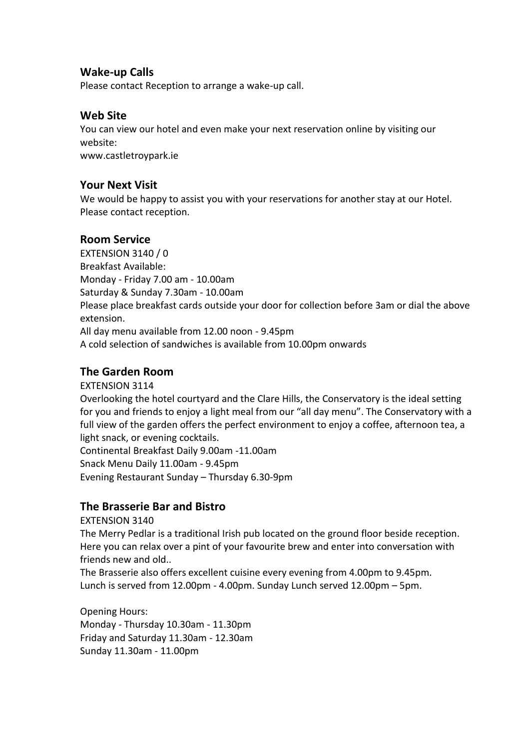#### **Wake-up Calls**

Please contact Reception to arrange a wake-up call.

### **Web Site**

You can view our hotel and even make your next reservation online by visiting our website: www.castletroypark.ie

### **Your Next Visit**

We would be happy to assist you with your reservations for another stay at our Hotel. Please contact reception.

## **Room Service**

EXTENSION 3140 / 0 Breakfast Available: Monday - Friday 7.00 am - 10.00am Saturday & Sunday 7.30am - 10.00am Please place breakfast cards outside your door for collection before 3am or dial the above extension. All day menu available from 12.00 noon - 9.45pm A cold selection of sandwiches is available from 10.00pm onwards

## **The Garden Room**

EXTENSION 3114

Overlooking the hotel courtyard and the Clare Hills, the Conservatory is the ideal setting for you and friends to enjoy a light meal from our "all day menu". The Conservatory with a full view of the garden offers the perfect environment to enjoy a coffee, afternoon tea, a light snack, or evening cocktails. Continental Breakfast Daily 9.00am -11.00am

Snack Menu Daily 11.00am - 9.45pm Evening Restaurant Sunday – Thursday 6.30-9pm

## **The Brasserie Bar and Bistro**

EXTENSION 3140

The Merry Pedlar is a traditional Irish pub located on the ground floor beside reception. Here you can relax over a pint of your favourite brew and enter into conversation with friends new and old..

The Brasserie also offers excellent cuisine every evening from 4.00pm to 9.45pm. Lunch is served from 12.00pm - 4.00pm. Sunday Lunch served 12.00pm – 5pm.

Opening Hours: Monday - Thursday 10.30am - 11.30pm Friday and Saturday 11.30am - 12.30am Sunday 11.30am - 11.00pm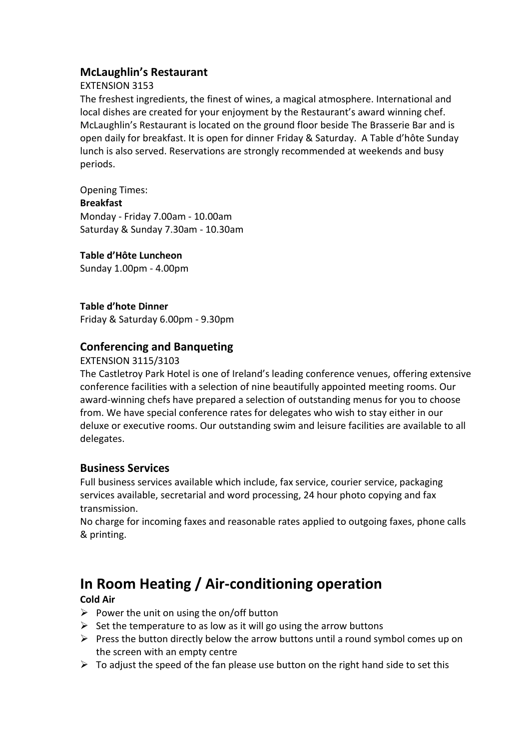## **McLaughlin's Restaurant**

#### EXTENSION 3153

The freshest ingredients, the finest of wines, a magical atmosphere. International and local dishes are created for your enjoyment by the Restaurant's award winning chef. McLaughlin's Restaurant is located on the ground floor beside The Brasserie Bar and is open daily for breakfast. It is open for dinner Friday & Saturday. A Table d'hôte Sunday lunch is also served. Reservations are strongly recommended at weekends and busy periods.

Opening Times: **Breakfast** Monday - Friday 7.00am - 10.00am Saturday & Sunday 7.30am - 10.30am

#### **Table d'Hôte Luncheon**

Sunday 1.00pm - 4.00pm

#### **Table d'hote Dinner**

Friday & Saturday 6.00pm - 9.30pm

## **Conferencing and Banqueting**

#### EXTENSION 3115/3103

The Castletroy Park Hotel is one of Ireland's leading conference venues, offering extensive conference facilities with a selection of nine beautifully appointed meeting rooms. Our award-winning chefs have prepared a selection of outstanding menus for you to choose from. We have special conference rates for delegates who wish to stay either in our deluxe or executive rooms. Our outstanding swim and leisure facilities are available to all delegates.

#### **Business Services**

Full business services available which include, fax service, courier service, packaging services available, secretarial and word processing, 24 hour photo copying and fax transmission.

No charge for incoming faxes and reasonable rates applied to outgoing faxes, phone calls & printing.

# **In Room Heating / Air-conditioning operation**

#### **Cold Air**

- $\triangleright$  Power the unit on using the on/off button
- $\triangleright$  Set the temperature to as low as it will go using the arrow buttons
- $\triangleright$  Press the button directly below the arrow buttons until a round symbol comes up on the screen with an empty centre
- $\triangleright$  To adjust the speed of the fan please use button on the right hand side to set this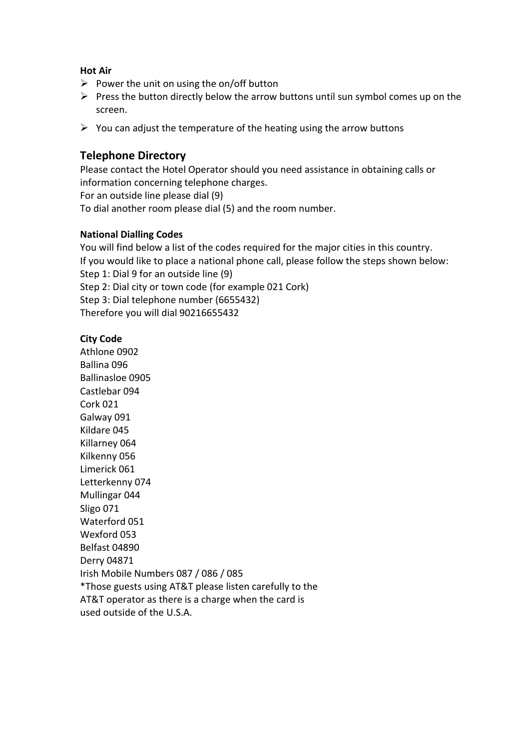#### **Hot Air**

- $\triangleright$  Power the unit on using the on/off button
- $\triangleright$  Press the button directly below the arrow buttons until sun symbol comes up on the screen.
- $\triangleright$  You can adjust the temperature of the heating using the arrow buttons

#### **Telephone Directory**

Please contact the Hotel Operator should you need assistance in obtaining calls or information concerning telephone charges. For an outside line please dial (9) To dial another room please dial (5) and the room number.

#### **National Dialling Codes**

You will find below a list of the codes required for the major cities in this country. If you would like to place a national phone call, please follow the steps shown below: Step 1: Dial 9 for an outside line (9) Step 2: Dial city or town code (for example 021 Cork) Step 3: Dial telephone number (6655432) Therefore you will dial 90216655432

#### **City Code**

Athlone 0902 Ballina 096 Ballinasloe 0905 Castlebar 094 Cork 021 Galway 091 Kildare 045 Killarney 064 Kilkenny 056 Limerick 061 Letterkenny 074 Mullingar 044 Sligo 071 Waterford 051 Wexford 053 Belfast 04890 Derry 04871 Irish Mobile Numbers 087 / 086 / 085 \*Those guests using AT&T please listen carefully to the AT&T operator as there is a charge when the card is used outside of the U.S.A.